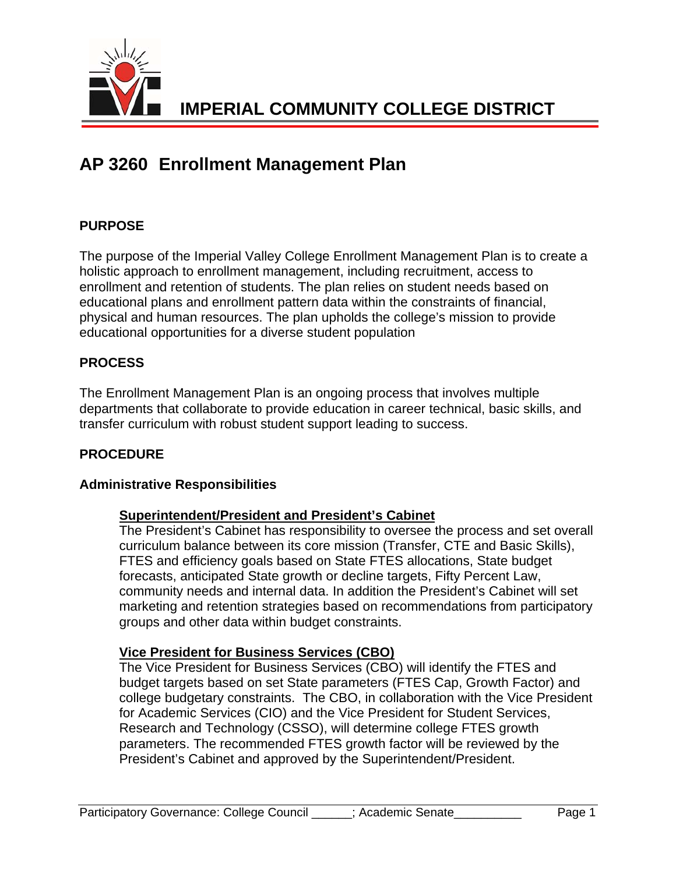

# **AP 3260 Enrollment Management Plan**

# **PURPOSE**

The purpose of the Imperial Valley College Enrollment Management Plan is to create a holistic approach to enrollment management, including recruitment, access to enrollment and retention of students. The plan relies on student needs based on educational plans and enrollment pattern data within the constraints of financial, physical and human resources. The plan upholds the college's mission to provide educational opportunities for a diverse student population

# **PROCESS**

The Enrollment Management Plan is an ongoing process that involves multiple departments that collaborate to provide education in career technical, basic skills, and transfer curriculum with robust student support leading to success.

## **PROCEDURE**

## **Administrative Responsibilities**

## **Superintendent/President and President's Cabinet**

The President's Cabinet has responsibility to oversee the process and set overall curriculum balance between its core mission (Transfer, CTE and Basic Skills), FTES and efficiency goals based on State FTES allocations, State budget forecasts, anticipated State growth or decline targets, Fifty Percent Law, community needs and internal data. In addition the President's Cabinet will set marketing and retention strategies based on recommendations from participatory groups and other data within budget constraints.

#### **Vice President for Business Services (CBO)**

The Vice President for Business Services (CBO) will identify the FTES and budget targets based on set State parameters (FTES Cap, Growth Factor) and college budgetary constraints. The CBO, in collaboration with the Vice President for Academic Services (CIO) and the Vice President for Student Services, Research and Technology (CSSO), will determine college FTES growth parameters. The recommended FTES growth factor will be reviewed by the President's Cabinet and approved by the Superintendent/President.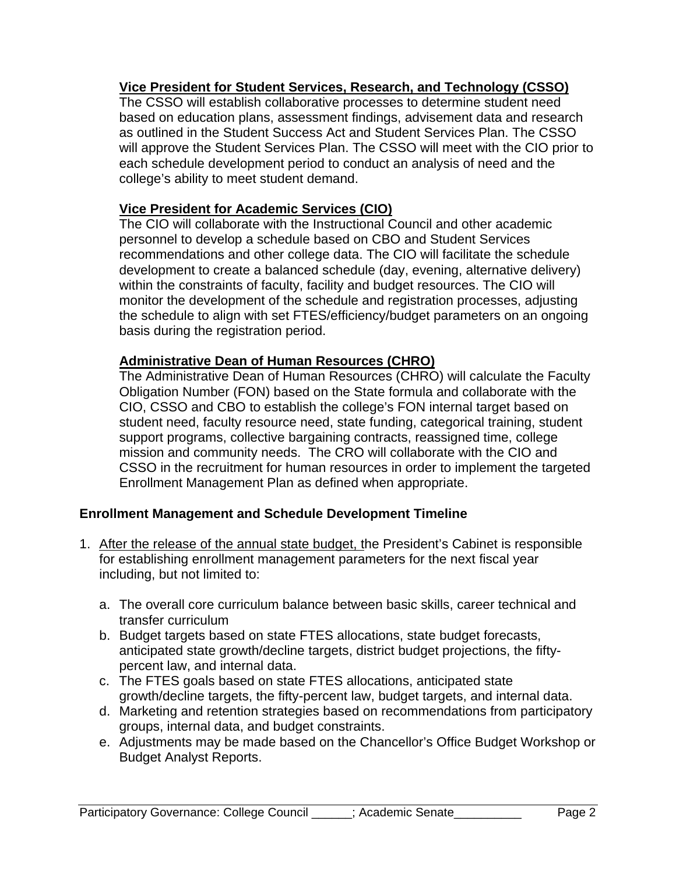# **Vice President for Student Services, Research, and Technology (CSSO)**

The CSSO will establish collaborative processes to determine student need based on education plans, assessment findings, advisement data and research as outlined in the Student Success Act and Student Services Plan. The CSSO will approve the Student Services Plan. The CSSO will meet with the CIO prior to each schedule development period to conduct an analysis of need and the college's ability to meet student demand.

# **Vice President for Academic Services (CIO)**

The CIO will collaborate with the Instructional Council and other academic personnel to develop a schedule based on CBO and Student Services recommendations and other college data. The CIO will facilitate the schedule development to create a balanced schedule (day, evening, alternative delivery) within the constraints of faculty, facility and budget resources. The CIO will monitor the development of the schedule and registration processes, adjusting the schedule to align with set FTES/efficiency/budget parameters on an ongoing basis during the registration period.

## **Administrative Dean of Human Resources (CHRO)**

The Administrative Dean of Human Resources (CHRO) will calculate the Faculty Obligation Number (FON) based on the State formula and collaborate with the CIO, CSSO and CBO to establish the college's FON internal target based on student need, faculty resource need, state funding, categorical training, student support programs, collective bargaining contracts, reassigned time, college mission and community needs. The CRO will collaborate with the CIO and CSSO in the recruitment for human resources in order to implement the targeted Enrollment Management Plan as defined when appropriate.

## **Enrollment Management and Schedule Development Timeline**

- 1. After the release of the annual state budget, the President's Cabinet is responsible for establishing enrollment management parameters for the next fiscal year including, but not limited to:
	- a. The overall core curriculum balance between basic skills, career technical and transfer curriculum
	- b. Budget targets based on state FTES allocations, state budget forecasts, anticipated state growth/decline targets, district budget projections, the fiftypercent law, and internal data.
	- c. The FTES goals based on state FTES allocations, anticipated state growth/decline targets, the fifty-percent law, budget targets, and internal data.
	- d. Marketing and retention strategies based on recommendations from participatory groups, internal data, and budget constraints.
	- e. Adjustments may be made based on the Chancellor's Office Budget Workshop or Budget Analyst Reports.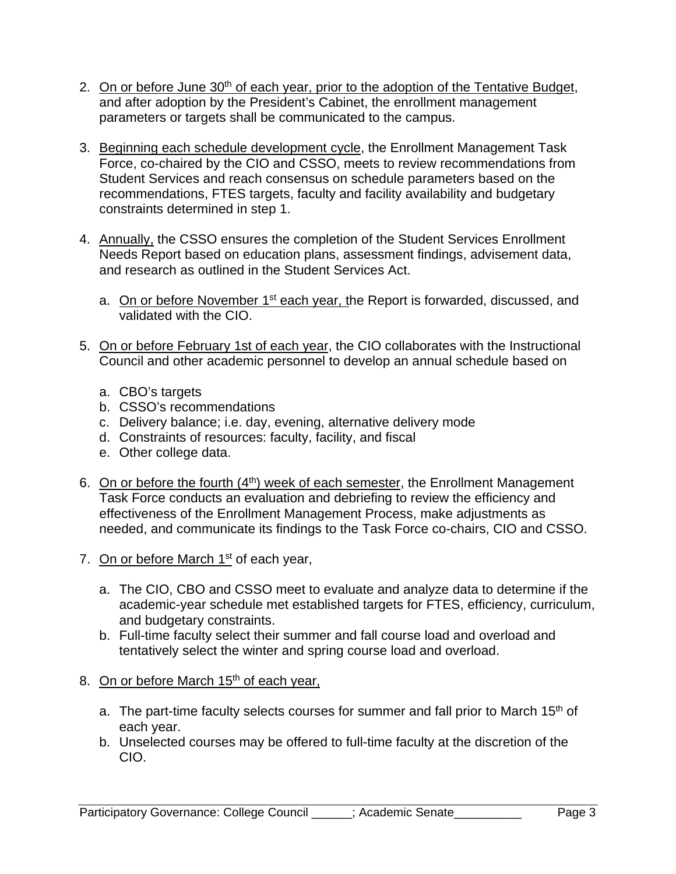- 2. On or before June 30<sup>th</sup> of each year, prior to the adoption of the Tentative Budget, and after adoption by the President's Cabinet, the enrollment management parameters or targets shall be communicated to the campus.
- 3. Beginning each schedule development cycle, the Enrollment Management Task Force, co-chaired by the CIO and CSSO, meets to review recommendations from Student Services and reach consensus on schedule parameters based on the recommendations, FTES targets, faculty and facility availability and budgetary constraints determined in step 1.
- 4. Annually, the CSSO ensures the completion of the Student Services Enrollment Needs Report based on education plans, assessment findings, advisement data, and research as outlined in the Student Services Act.
	- a. On or before November 1<sup>st</sup> each year, the Report is forwarded, discussed, and validated with the CIO.
- 5. On or before February 1st of each year, the CIO collaborates with the Instructional Council and other academic personnel to develop an annual schedule based on
	- a. CBO's targets
	- b. CSSO's recommendations
	- c. Delivery balance; i.e. day, evening, alternative delivery mode
	- d. Constraints of resources: faculty, facility, and fiscal
	- e. Other college data.
- 6. On or before the fourth (4<sup>th</sup>) week of each semester, the Enrollment Management Task Force conducts an evaluation and debriefing to review the efficiency and effectiveness of the Enrollment Management Process, make adjustments as needed, and communicate its findings to the Task Force co-chairs, CIO and CSSO.
- 7. On or before March 1<sup>st</sup> of each year,
	- a. The CIO, CBO and CSSO meet to evaluate and analyze data to determine if the academic-year schedule met established targets for FTES, efficiency, curriculum, and budgetary constraints.
	- b. Full-time faculty select their summer and fall course load and overload and tentatively select the winter and spring course load and overload.
- 8. On or before March  $15<sup>th</sup>$  of each year,
	- a. The part-time faculty selects courses for summer and fall prior to March 15<sup>th</sup> of each year.
	- b. Unselected courses may be offered to full-time faculty at the discretion of the CIO.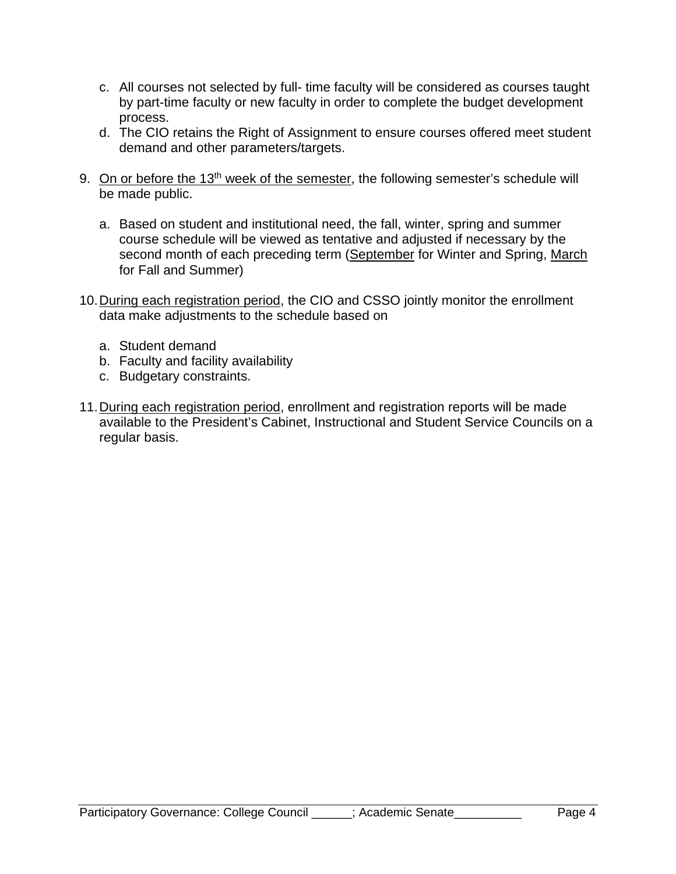- c. All courses not selected by full- time faculty will be considered as courses taught by part-time faculty or new faculty in order to complete the budget development process.
- d. The CIO retains the Right of Assignment to ensure courses offered meet student demand and other parameters/targets.
- 9. On or before the 13<sup>th</sup> week of the semester, the following semester's schedule will be made public.
	- a. Based on student and institutional need, the fall, winter, spring and summer course schedule will be viewed as tentative and adjusted if necessary by the second month of each preceding term (September for Winter and Spring, March for Fall and Summer)
- 10. During each registration period, the CIO and CSSO jointly monitor the enrollment data make adjustments to the schedule based on
	- a. Student demand
	- b. Faculty and facility availability
	- c. Budgetary constraints.
- 11. During each registration period, enrollment and registration reports will be made available to the President's Cabinet, Instructional and Student Service Councils on a regular basis.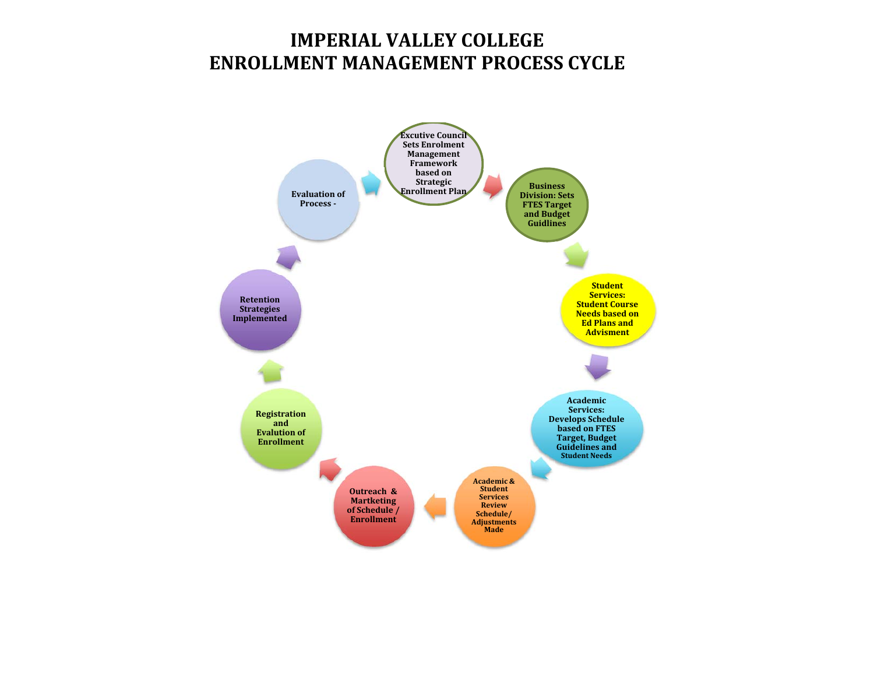# **IMPERIAL VALLEY COLLEGE ENROLLMENT MANAGEMENT PROCESS CYCLE**